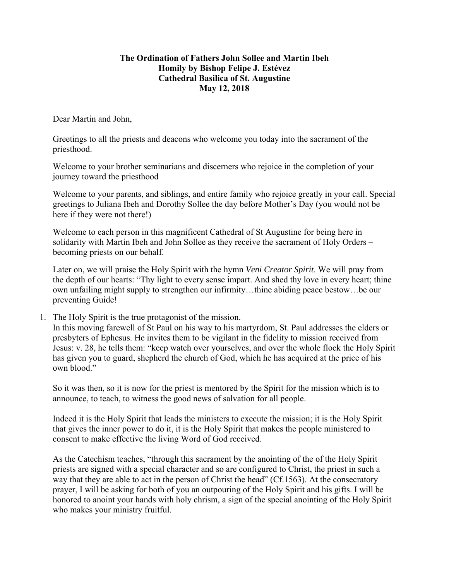## **The Ordination of Fathers John Sollee and Martin Ibeh Homily by Bishop Felipe J. Estévez Cathedral Basilica of St. Augustine May 12, 2018**

Dear Martin and John,

Greetings to all the priests and deacons who welcome you today into the sacrament of the priesthood.

Welcome to your brother seminarians and discerners who rejoice in the completion of your journey toward the priesthood

Welcome to your parents, and siblings, and entire family who rejoice greatly in your call. Special greetings to Juliana Ibeh and Dorothy Sollee the day before Mother's Day (you would not be here if they were not there!)

Welcome to each person in this magnificent Cathedral of St Augustine for being here in solidarity with Martin Ibeh and John Sollee as they receive the sacrament of Holy Orders – becoming priests on our behalf.

Later on, we will praise the Holy Spirit with the hymn *Veni Creator Spirit*. We will pray from the depth of our hearts: "Thy light to every sense impart. And shed thy love in every heart; thine own unfailing might supply to strengthen our infirmity…thine abiding peace bestow…be our preventing Guide!

1. The Holy Spirit is the true protagonist of the mission.

In this moving farewell of St Paul on his way to his martyrdom, St. Paul addresses the elders or presbyters of Ephesus. He invites them to be vigilant in the fidelity to mission received from Jesus: v. 28, he tells them: "keep watch over yourselves, and over the whole flock the Holy Spirit has given you to guard, shepherd the church of God, which he has acquired at the price of his own blood."

So it was then, so it is now for the priest is mentored by the Spirit for the mission which is to announce, to teach, to witness the good news of salvation for all people.

Indeed it is the Holy Spirit that leads the ministers to execute the mission; it is the Holy Spirit that gives the inner power to do it, it is the Holy Spirit that makes the people ministered to consent to make effective the living Word of God received.

As the Catechism teaches, "through this sacrament by the anointing of the of the Holy Spirit priests are signed with a special character and so are configured to Christ, the priest in such a way that they are able to act in the person of Christ the head" (Cf.1563). At the consecratory prayer, I will be asking for both of you an outpouring of the Holy Spirit and his gifts. I will be honored to anoint your hands with holy chrism, a sign of the special anointing of the Holy Spirit who makes your ministry fruitful.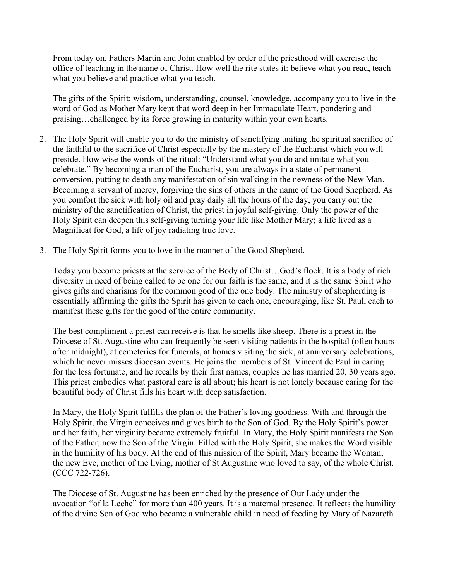From today on, Fathers Martin and John enabled by order of the priesthood will exercise the office of teaching in the name of Christ. How well the rite states it: believe what you read, teach what you believe and practice what you teach.

The gifts of the Spirit: wisdom, understanding, counsel, knowledge, accompany you to live in the word of God as Mother Mary kept that word deep in her Immaculate Heart, pondering and praising…challenged by its force growing in maturity within your own hearts.

- 2. The Holy Spirit will enable you to do the ministry of sanctifying uniting the spiritual sacrifice of the faithful to the sacrifice of Christ especially by the mastery of the Eucharist which you will preside. How wise the words of the ritual: "Understand what you do and imitate what you celebrate." By becoming a man of the Eucharist, you are always in a state of permanent conversion, putting to death any manifestation of sin walking in the newness of the New Man. Becoming a servant of mercy, forgiving the sins of others in the name of the Good Shepherd. As you comfort the sick with holy oil and pray daily all the hours of the day, you carry out the ministry of the sanctification of Christ, the priest in joyful self-giving. Only the power of the Holy Spirit can deepen this self-giving turning your life like Mother Mary; a life lived as a Magnificat for God, a life of joy radiating true love.
- 3. The Holy Spirit forms you to love in the manner of the Good Shepherd.

Today you become priests at the service of the Body of Christ…God's flock. It is a body of rich diversity in need of being called to be one for our faith is the same, and it is the same Spirit who gives gifts and charisms for the common good of the one body. The ministry of shepherding is essentially affirming the gifts the Spirit has given to each one, encouraging, like St. Paul, each to manifest these gifts for the good of the entire community.

The best compliment a priest can receive is that he smells like sheep. There is a priest in the Diocese of St. Augustine who can frequently be seen visiting patients in the hospital (often hours after midnight), at cemeteries for funerals, at homes visiting the sick, at anniversary celebrations, which he never misses diocesan events. He joins the members of St. Vincent de Paul in caring for the less fortunate, and he recalls by their first names, couples he has married 20, 30 years ago. This priest embodies what pastoral care is all about; his heart is not lonely because caring for the beautiful body of Christ fills his heart with deep satisfaction.

In Mary, the Holy Spirit fulfills the plan of the Father's loving goodness. With and through the Holy Spirit, the Virgin conceives and gives birth to the Son of God. By the Holy Spirit's power and her faith, her virginity became extremely fruitful. In Mary, the Holy Spirit manifests the Son of the Father, now the Son of the Virgin. Filled with the Holy Spirit, she makes the Word visible in the humility of his body. At the end of this mission of the Spirit, Mary became the Woman, the new Eve, mother of the living, mother of St Augustine who loved to say, of the whole Christ. (CCC 722-726).

The Diocese of St. Augustine has been enriched by the presence of Our Lady under the avocation "of la Leche" for more than 400 years. It is a maternal presence. It reflects the humility of the divine Son of God who became a vulnerable child in need of feeding by Mary of Nazareth